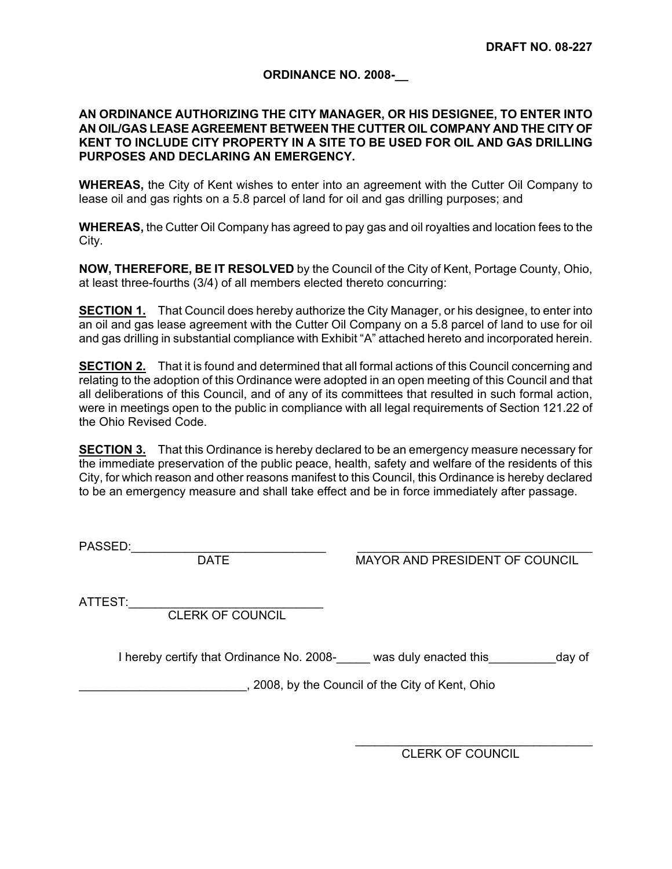## **ORDINANCE NO. 2008-\_\_**

## **AN ORDINANCE AUTHORIZING THE CITY MANAGER, OR HIS DESIGNEE, TO ENTER INTO AN OIL/GAS LEASE AGREEMENT BETWEEN THE CUTTER OIL COMPANY AND THE CITY OF KENT TO INCLUDE CITY PROPERTY IN A SITE TO BE USED FOR OIL AND GAS DRILLING PURPOSES AND DECLARING AN EMERGENCY.**

**WHEREAS,** the City of Kent wishes to enter into an agreement with the Cutter Oil Company to lease oil and gas rights on a 5.8 parcel of land for oil and gas drilling purposes; and

**WHEREAS,** the Cutter Oil Company has agreed to pay gas and oil royalties and location fees to the City.

**NOW, THEREFORE, BE IT RESOLVED** by the Council of the City of Kent, Portage County, Ohio, at least three-fourths (3/4) of all members elected thereto concurring:

**SECTION 1.** That Council does hereby authorize the City Manager, or his designee, to enter into an oil and gas lease agreement with the Cutter Oil Company on a 5.8 parcel of land to use for oil and gas drilling in substantial compliance with Exhibit "A" attached hereto and incorporated herein.

**SECTION 2.** That it is found and determined that all formal actions of this Council concerning and relating to the adoption of this Ordinance were adopted in an open meeting of this Council and that all deliberations of this Council, and of any of its committees that resulted in such formal action, were in meetings open to the public in compliance with all legal requirements of Section 121.22 of the Ohio Revised Code.

**SECTION 3.** That this Ordinance is hereby declared to be an emergency measure necessary for the immediate preservation of the public peace, health, safety and welfare of the residents of this City, for which reason and other reasons manifest to this Council, this Ordinance is hereby declared to be an emergency measure and shall take effect and be in force immediately after passage.

PASSED:\_\_\_\_\_\_\_\_\_\_\_\_\_\_\_\_\_\_\_\_\_\_\_\_\_\_\_\_\_ \_\_\_\_\_\_\_\_\_\_\_\_\_\_\_\_\_\_\_\_\_\_\_\_\_\_\_\_\_\_\_\_\_\_\_

MAYOR AND PRESIDENT OF COUNCIL

ATTEST:

CLERK OF COUNCIL

I hereby certify that Ordinance No. 2008- was duly enacted this day of

\_\_\_\_\_\_\_\_\_\_\_\_\_\_\_\_\_\_\_\_\_\_\_\_\_, 2008, by the Council of the City of Kent, Ohio

\_\_\_\_\_\_\_\_\_\_\_\_\_\_\_\_\_\_\_\_\_\_\_\_\_\_\_\_\_\_\_\_\_\_\_\_ CLERK OF COUNCIL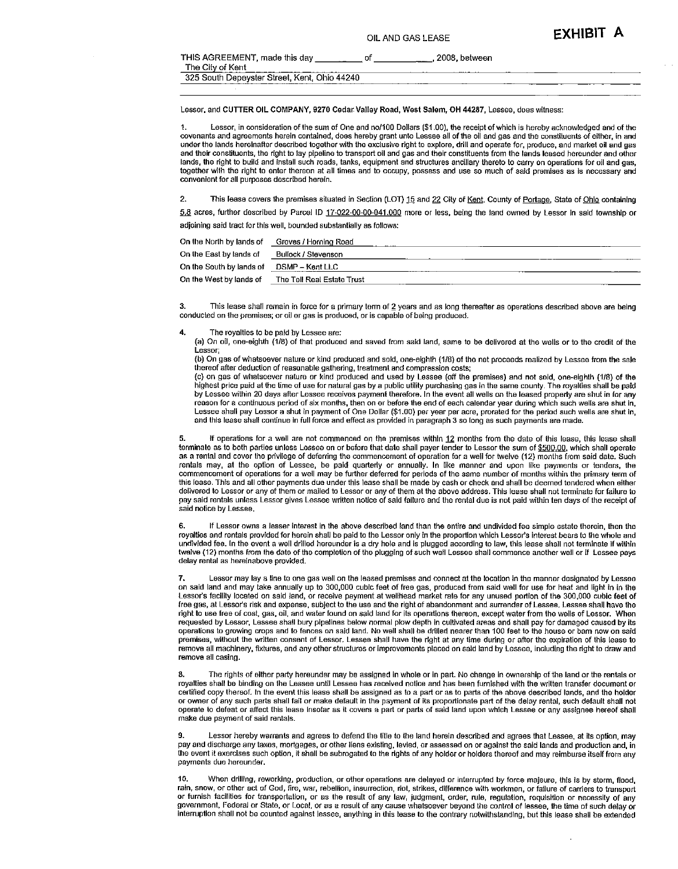| <b>EXHIBIT A</b> |  |
|------------------|--|
|------------------|--|

| THIS AGREEMENT, made this day<br>The City of Kent | 2008. between<br>-------- |  |
|---------------------------------------------------|---------------------------|--|
| 325 South Depeyster Street, Kent, Ohio 44240      |                           |  |

Lessor, and CUTTER OIL COMPANY, 9270 Cedar Valley Road, West Salem, OH 44287, Lessee, does witness:

Lessor, in consideration of the sum of One and no/100 Dollars (\$1.00), the receipt of which is hereby acknowledged and of the 1. covenants and agreements herein contained, does hereby grant unto Lessee all of the oil and gas and the constituents of either, in and under the lands hereinafter described together with the exclusive right to explore, drill and operate for, produce, and market oil and gas and their constituents, the right to lay pipeline to transport oil and gas and their constituents from the lands leased hereunder and other lands, the right to build and install such roads, tanks, equipment and structures ancillary thereto to carry on operations for oil and gas, together with the right to enter thereon at all times and to occupy, possess and use so much of said premises as is necessary and convenient for all purposes described herein.

 $\overline{2}$ This lease covers the premises situated in Section (LOT) 15 and 22 City of Kent, County of Portage, State of Ohio containing

5.8 acres, further described by Parcel ID 17-022-00-00-041.000 more or less, being the land owned by Lessor in said township or adjoining said tract for this well, bounded substantially as follows;

| On the North by lands of | Groves / Horning Road      |
|--------------------------|----------------------------|
| On the East by lands of  | Bullock / Stevenson        |
| On the South by lands of | DSMP – Kent LLC            |
| On the West by lands of  | The Tell Real Estate Trust |

3. This lease shall remain in force for a primary term of 2 years and as long thereafter as operations described above are being conducted on the premises; or oil or gas is produced, or is capable of being produced.

 $\ddot{a}$ The royalties to be paid by Lessee are:

(a) On oil, one-eighth (1/8) of that produced and saved from said land, same to be delivered at the wells or to the credit of the Lessor:

(b) On gas of whatsoever nature or kind produced and sold, one-eighth (1/8) of the net proceeds realized by Lessee from the sale thereof after deduction of reasonable gathering, treatment and compression costs;

(c) on gas of whatsoever nature or kind produced and used by Lessee (off the premises) and not sold, one-eighth (1/8) of the highest price paid at the time of use for natural gas by a public utility purchasing gas in the same county. The royalties shall be paid by Lessee within 20 days after Lessee receives payment therefore. In the event all wells on the leased property are shut in for any reason for a continuous period of six months, then on or before the end of each calendar year during which such wells are shut in, Lessee shall pay Lessor a shut in payment of One Dollar (\$1.00) per year per acre, prorated for the period such wells are shut in, and this lease shall continue in full force and effect as provided in paragraph 3 so long as such payments are made.

If operations for a well are not commenced on the premises within 12 months from the date of this lease, this lease shall 5. terminate as to both parties unless Lessee on or before that date shall payer tender to Lessor the sum of \$500,00, which shall operate as a rental and cover the privilege of deferring the commencement of operation for a well for twelve (12) months from said date. Such rentals may, at the option of Lessee, be paid quarterly or annually. In like manner and upon like payments or tenders, the commencement of operations for a well may be further deferred for periods of the same number of mon this lease. This and all other payments due under this lease shall be made by cash or check and shall be deemed tendered when either delivered to Lessor or any of them or mailed to Lessor or any of them at the above address. This lease shall not terminate for failure to pay said rentals unless Lessor gives Lessee written notice of said failure and the rental due is not paid within ten days of the receipt of said notice by Lessee.

If Lessor owns a lesser interest in the above described land than the entire and undivided fee simple estate therein, then the 6 royalties and rentals provided for herein shall be paid to the Lessor only in the proportion which Lessor's interest bears to the whole and undivided fee. In the event a well drilled hereunder is a dry hole and is plugged according to law, this lease shall not terminate if within twelve (12) months from the date of the completion of the plugging of such well Lessee shall commence another well or if Lessee pays delay rental as hereinabove provided.

Lessor may lay a line to one gas well on the leased premises and connect at the location in the manner designated by Lessee on said land and may take annually up to 300,000 cubic feet of free gas, produced from said well for use for heat and light in in the Lessor's facility located on said land, or receive payment at wellhead market rate for a free gas, at Lessor's risk and expense, subject to the use and the right of abandonment and surrender of Lessee. Lessee shall have the right to use free of cost, gas, oil, and water found on said land for its operations thereon, except water from the wells of Lessor. When requested by Lessor, Lessee shall bury pipelines below normal plow depth in cultivated areas and shall pay for damaged caused by its operations to growing crops and to fences on said land. No well shall be drilled nearer than 100 feet to the house or barn now on said premises, without the written consent of Lessor. Lessee shall have the right at any time during or after the expiration of this lease to remove all machinery, fixtures, and any other structures or improvements placed on said land by Lessee, including the right to draw and remove all casing.

The rights of either party hereunder may be assigned in whole or in part. No change in ownership of the land or the rentals or 8. royalties shall be binding on the Lessee until Lessee has received notice and has been furnished with the written transfer document or certified copy thereof. In the event this lease shall be assigned as to a part or as to parts of the above described lands, and the holder or owner of any such parts shall fail or make default in the payment of its proportionate part of the delay rental, such default shall not operate to defeat or affect this lease insofar as it covers a part or parts of said land upon which Lessee or any assignee hereof shall make due payment of said rentals

Lessor hereby warrants and agrees to defend the title to the land herein described and agrees that Lessee, at its option, may 9. pay and discharge any taxes, mortgages, or other liens existing, levied, or assessed on or against the said lands and production and, in the event it exercises such option, it shall be subrogated to the rights of any holder or holders thereof and may reimburse itself from any payments due hereunder.

10. When drilling, reworking, production, or other operations are delayed or interrupted by force majeure, this is by storm, flood, rain, snow, or other act of God, fire, war, rebellion, insurrection, riot, strikes, difference with workmen, or failure of carriers to transport or furnish facilities for transportation, or as the result of any law, judgment, order, rule, regulation, requisition or necessity of any government, Federal or State, or Local, or as a result of any cause whatsoever beyond the control of lessee, the time of such delay or interruption shall not be counted against lessee, anything in this lease to the contrary notwithstanding, but this lease shall be extended